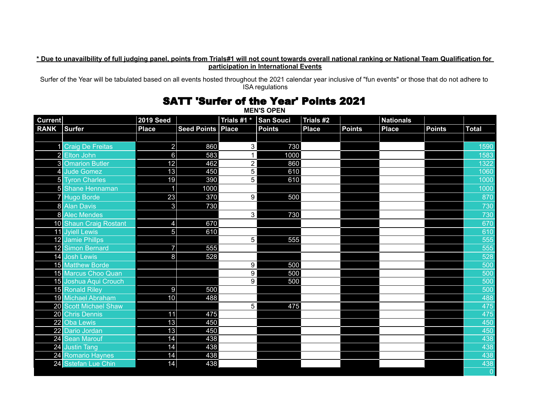## **\* Due to unavailbility of full judging panel, points from Trials#1 will not count towards overall national ranking or National Team Qualification for participation in International Events**

Surfer of the Year will be tabulated based on all events hosted throughout the 2021 calendar year inclusive of "fun events" or those that do not adhere to ISA regulations

## **MEN'S OPEN Current 2019 Seed Trials #1 \* San Souci Trials #2 Nationals RANK Surfer Place Seed Points Place Points Place Points Place Points Total** 1 Craig De Freitas 2 860 3 730 1590 2 Elton John 6 583 1 1000 1583 3 Omarion Butler 12 | 462 2 | 860 | | 1322 4 Jude Gomez 13 450 5 610 1060 5 Tyron Charles 19 | 390 5 | 610 | | 1000 5 Shane Hennaman 1 1000 1000 7 Hugo Borde 23 | 370 9 | 500 | | 870 8 Alan Davis 3 730 730 8 Alec Mendes 3 730 730 10 Shaun Craig Rostant 4 670 670 11 Jyiell Lewis 5 610 610 12 Jamie Phillps 5 555 555 12 Simon Bernard 7 555 555 14 Josh Lewis 8 528 528 15 Matthew Borde 9 500 500 15 Marcus Choo Quan 9 500 500 15 Joshua Aqui Crouch 15 Joshua Aqui Crouch 15 Joshua Aqui Crouch 15 Joshua Aqui Crouch 15 Joshua Aqui Crouch<br>15 Ronald Riley 15 10 15 16 17 17 18 19 19 19 19 19 19 19 19 19 10 11 12 12 13 14 15 16 17 17 18 19 10 10 11 1 15 Ronald Riley  $\vert\hspace{1cm}9\vert$  500  $\vert\hspace{1cm}500$ 19 Michael Abraham 10 488 488 20 Scott Michael Shaw 5 475 475 20 Chris Dennis 11 475 475 22 Oba Lewis 13 450 450 22 Dario Jordan 13 450 450 24 Sean Marouf 14 438 438 24 Justin Tang 14 14 | 2001 | 438 | 438 | 438 | 438 | 438 | 438 | 438 | 438 | 438 | 438 | 438 | 438 | 438 | 43 24 Romario Haynes 14 438 438 24 Sstefan Lue Chin 0

## SATT 'Surfer of the Year' Points 2021